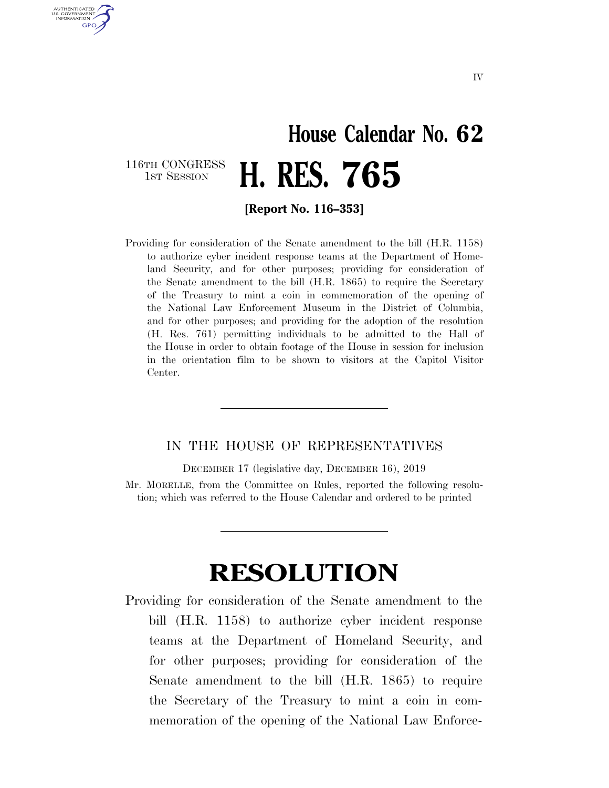## **House Calendar No. 62**  116TH CONGRESS<br>1st Session 1ST SESSION **H. RES. 765**

AUTHENTICATED U.S. GOVERNMENT GPO

**[Report No. 116–353]** 

Providing for consideration of the Senate amendment to the bill (H.R. 1158) to authorize cyber incident response teams at the Department of Homeland Security, and for other purposes; providing for consideration of the Senate amendment to the bill (H.R. 1865) to require the Secretary of the Treasury to mint a coin in commemoration of the opening of the National Law Enforcement Museum in the District of Columbia, and for other purposes; and providing for the adoption of the resolution (H. Res. 761) permitting individuals to be admitted to the Hall of the House in order to obtain footage of the House in session for inclusion in the orientation film to be shown to visitors at the Capitol Visitor Center.

## IN THE HOUSE OF REPRESENTATIVES

DECEMBER 17 (legislative day, DECEMBER 16), 2019 Mr. MORELLE, from the Committee on Rules, reported the following resolution; which was referred to the House Calendar and ordered to be printed

## **RESOLUTION**

Providing for consideration of the Senate amendment to the bill (H.R. 1158) to authorize cyber incident response teams at the Department of Homeland Security, and for other purposes; providing for consideration of the Senate amendment to the bill (H.R. 1865) to require the Secretary of the Treasury to mint a coin in commemoration of the opening of the National Law Enforce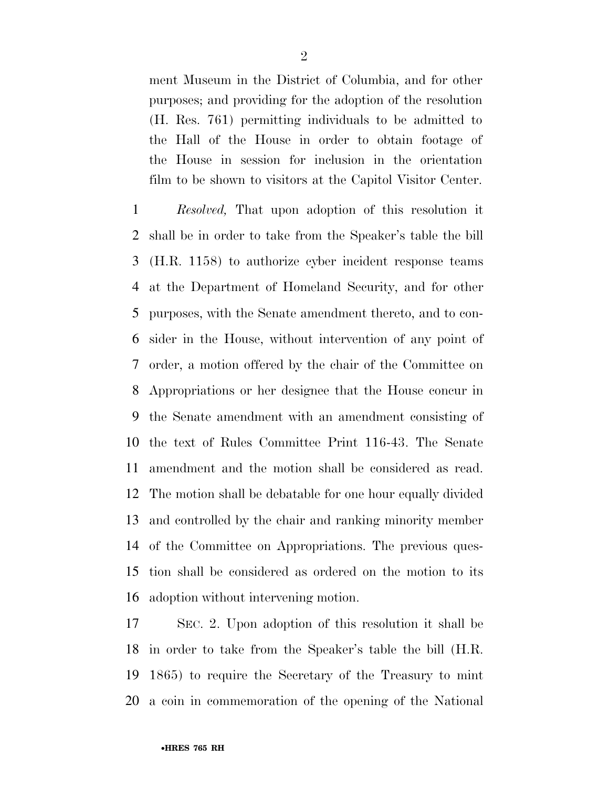ment Museum in the District of Columbia, and for other purposes; and providing for the adoption of the resolution (H. Res. 761) permitting individuals to be admitted to the Hall of the House in order to obtain footage of the House in session for inclusion in the orientation film to be shown to visitors at the Capitol Visitor Center.

 *Resolved,* That upon adoption of this resolution it shall be in order to take from the Speaker's table the bill (H.R. 1158) to authorize cyber incident response teams at the Department of Homeland Security, and for other purposes, with the Senate amendment thereto, and to con- sider in the House, without intervention of any point of order, a motion offered by the chair of the Committee on Appropriations or her designee that the House concur in the Senate amendment with an amendment consisting of the text of Rules Committee Print 116-43. The Senate amendment and the motion shall be considered as read. The motion shall be debatable for one hour equally divided and controlled by the chair and ranking minority member of the Committee on Appropriations. The previous ques- tion shall be considered as ordered on the motion to its adoption without intervening motion.

 SEC. 2. Upon adoption of this resolution it shall be in order to take from the Speaker's table the bill (H.R. 1865) to require the Secretary of the Treasury to mint a coin in commemoration of the opening of the National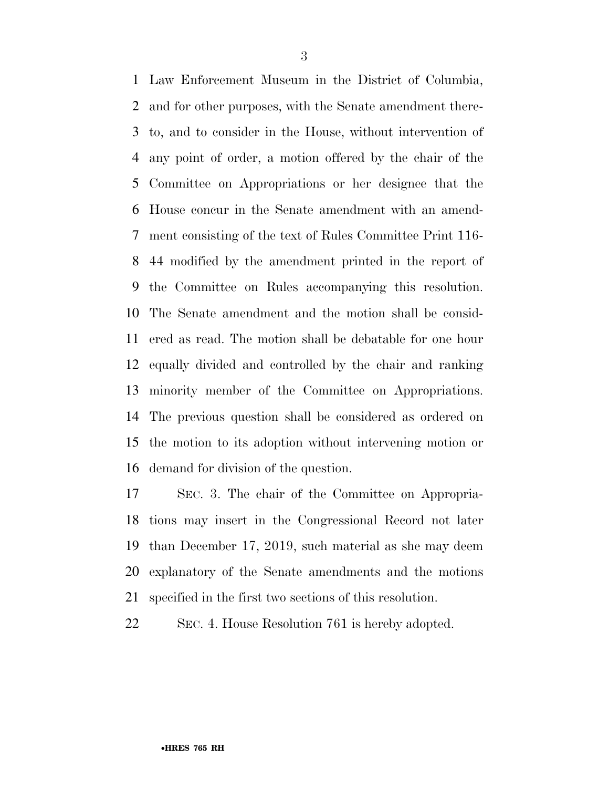Law Enforcement Museum in the District of Columbia, and for other purposes, with the Senate amendment there- to, and to consider in the House, without intervention of any point of order, a motion offered by the chair of the Committee on Appropriations or her designee that the House concur in the Senate amendment with an amend- ment consisting of the text of Rules Committee Print 116- 44 modified by the amendment printed in the report of the Committee on Rules accompanying this resolution. The Senate amendment and the motion shall be consid- ered as read. The motion shall be debatable for one hour equally divided and controlled by the chair and ranking minority member of the Committee on Appropriations. The previous question shall be considered as ordered on the motion to its adoption without intervening motion or demand for division of the question.

 SEC. 3. The chair of the Committee on Appropria- tions may insert in the Congressional Record not later than December 17, 2019, such material as she may deem explanatory of the Senate amendments and the motions specified in the first two sections of this resolution.

SEC. 4. House Resolution 761 is hereby adopted.